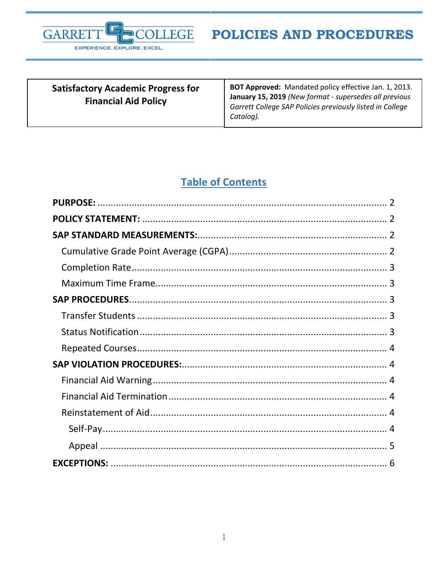

| <b>Satisfactory Academic Progress for</b><br><b>Financial Aid Policy</b> | BOT Approved: Mandated policy effective Jan. 1, 2013.<br>January 15, 2019 (New format - supersedes all previous<br>Garrett College SAP Policies previously listed in College |
|--------------------------------------------------------------------------|------------------------------------------------------------------------------------------------------------------------------------------------------------------------------|
|                                                                          | Catalog).                                                                                                                                                                    |

# **Table of Contents**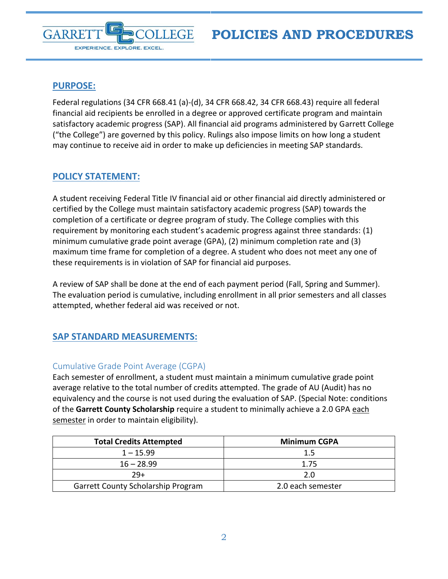<span id="page-1-0"></span>

**GARRE** 

Federal regulations (34 CFR 668.41 (a)-(d), 34 CFR 668.42, 34 CFR 668.43) require all federal financial aid recipients be enrolled in a degree or approved certificate program and maintain satisfactory academic progress (SAP). All financial aid programs administered by Garrett College ("the College") are governed by this policy. Rulings also impose limits on how long a student may continue to receive aid in order to make up deficiencies in meeting SAP standards.

## <span id="page-1-1"></span>**POLICY STATEMENT:**

EXPERIENCE. EXPLORE. EXCEL.

A student receiving Federal Title IV financial aid or other financial aid directly administered or certified by the College must maintain satisfactory academic progress (SAP) towards the completion of a certificate or degree program of study. The College complies with this requirement by monitoring each student's academic progress against three standards: (1) minimum cumulative grade point average (GPA), (2) minimum completion rate and (3) maximum time frame for completion of a degree. A student who does not meet any one of these requirements is in violation of SAP for financial aid purposes.

A review of SAP shall be done at the end of each payment period (Fall, Spring and Summer). The evaluation period is cumulative, including enrollment in all prior semesters and all classes attempted, whether federal aid was received or not.

## <span id="page-1-2"></span>**SAP STANDARD MEASUREMENTS:**

### <span id="page-1-3"></span>Cumulative Grade Point Average (CGPA)

Each semester of enrollment, a student must maintain a minimum cumulative grade point average relative to the total number of credits attempted. The grade of AU (Audit) has no equivalency and the course is not used during the evaluation of SAP. (Special Note: conditions of the **Garrett County Scholarship** require a student to minimally achieve a 2.0 GPA each semester in order to maintain eligibility).

| <b>Total Credits Attempted</b>            | <b>Minimum CGPA</b> |
|-------------------------------------------|---------------------|
| $1 - 15.99$                               | 1.5                 |
| $16 - 28.99$                              | 1.75                |
| $79+$                                     | 2.0                 |
| <b>Garrett County Scholarship Program</b> | 2.0 each semester   |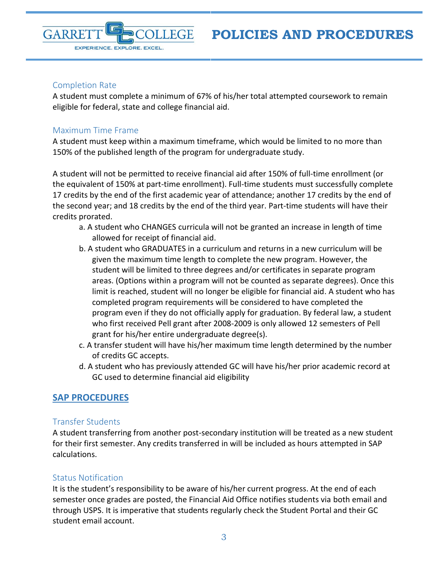

#### <span id="page-2-0"></span>Completion Rate

A student must complete a minimum of 67% of his/her total attempted coursework to remain eligible for federal, state and college financial aid.

### <span id="page-2-1"></span>Maximum Time Frame

A student must keep within a maximum timeframe, which would be limited to no more than 150% of the published length of the program for undergraduate study.

A student will not be permitted to receive financial aid after 150% of full-time enrollment (or the equivalent of 150% at part-time enrollment). Full-time students must successfully complete 17 credits by the end of the first academic year of attendance; another 17 credits by the end of the second year; and 18 credits by the end of the third year. Part-time students will have their credits prorated.

- a. A student who CHANGES curricula will not be granted an increase in length of time allowed for receipt of financial aid.
- b. A student who GRADUATES in a curriculum and returns in a new curriculum will be given the maximum time length to complete the new program. However, the student will be limited to three degrees and/or certificates in separate program areas. (Options within a program will not be counted as separate degrees). Once this limit is reached, student will no longer be eligible for financial aid. A student who has completed program requirements will be considered to have completed the program even if they do not officially apply for graduation. By federal law, a student who first received Pell grant after 2008-2009 is only allowed 12 semesters of Pell grant for his/her entire undergraduate degree(s).
- c. A transfer student will have his/her maximum time length determined by the number of credits GC accepts.
- d. A student who has previously attended GC will have his/her prior academic record at GC used to determine financial aid eligibility

## <span id="page-2-2"></span>**SAP PROCEDURES**

#### <span id="page-2-3"></span>Transfer Students

A student transferring from another post-secondary institution will be treated as a new student for their first semester. Any credits transferred in will be included as hours attempted in SAP calculations.

#### <span id="page-2-4"></span>Status Notification

It is the student's responsibility to be aware of his/her current progress. At the end of each semester once grades are posted, the Financial Aid Office notifies students via both email and through USPS. It is imperative that students regularly check the Student Portal and their GC student email account.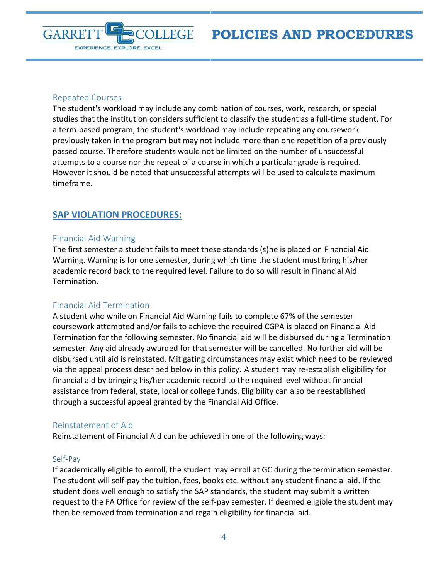**POLICIES AND PROCEDURES**



#### <span id="page-3-0"></span>Repeated Courses

The student's workload may include any combination of courses, work, research, or special studies that the institution considers sufficient to classify the student as a full-time student. For a term-based program, the student's workload may include repeating any coursework previously taken in the program but may not include more than one repetition of a previously passed course. Therefore students would not be limited on the number of unsuccessful attempts to a course nor the repeat of a course in which a particular grade is required. However it should be noted that unsuccessful attempts will be used to calculate maximum timeframe.

## <span id="page-3-1"></span>**SAP VIOLATION PROCEDURES:**

#### <span id="page-3-2"></span>Financial Aid Warning

The first semester a student fails to meet these standards (s)he is placed on Financial Aid Warning. Warning is for one semester, during which time the student must bring his/her academic record back to the required level. Failure to do so will result in Financial Aid Termination.

#### <span id="page-3-3"></span>Financial Aid Termination

A student who while on Financial Aid Warning fails to complete 67% of the semester coursework attempted and/or fails to achieve the required CGPA is placed on Financial Aid Termination for the following semester. No financial aid will be disbursed during a Termination semester. Any aid already awarded for that semester will be cancelled. No further aid will be disbursed until aid is reinstated. Mitigating circumstances may exist which need to be reviewed via the appeal process described below in this policy. A student may re-establish eligibility for financial aid by bringing his/her academic record to the required level without financial assistance from federal, state, local or college funds. Eligibility can also be reestablished through a successful appeal granted by the Financial Aid Office.

#### <span id="page-3-4"></span>Reinstatement of Aid

Reinstatement of Financial Aid can be achieved in one of the following ways:

#### <span id="page-3-5"></span>Self-Pay

If academically eligible to enroll, the student may enroll at GC during the termination semester. The student will self-pay the tuition, fees, books etc. without any student financial aid. If the student does well enough to satisfy the SAP standards, the student may submit a written request to the FA Office for review of the self-pay semester. If deemed eligible the student may then be removed from termination and regain eligibility for financial aid.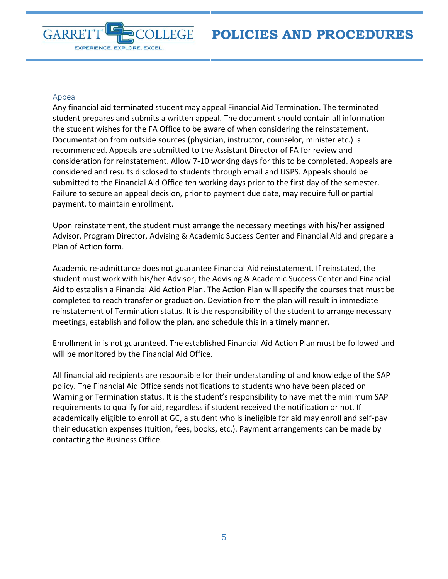**POLICIES AND PROCEDURES**



#### <span id="page-4-0"></span>Appeal

Any financial aid terminated student may appeal Financial Aid Termination. The terminated student prepares and submits a written appeal. The document should contain all information the student wishes for the FA Office to be aware of when considering the reinstatement. Documentation from outside sources (physician, instructor, counselor, minister etc.) is recommended. Appeals are submitted to the Assistant Director of FA for review and consideration for reinstatement. Allow 7-10 working days for this to be completed. Appeals are considered and results disclosed to students through email and USPS. Appeals should be submitted to the Financial Aid Office ten working days prior to the first day of the semester. Failure to secure an appeal decision, prior to payment due date, may require full or partial payment, to maintain enrollment.

Upon reinstatement, the student must arrange the necessary meetings with his/her assigned Advisor, Program Director, Advising & Academic Success Center and Financial Aid and prepare a Plan of Action form.

Academic re-admittance does not guarantee Financial Aid reinstatement. If reinstated, the student must work with his/her Advisor, the Advising & Academic Success Center and Financial Aid to establish a Financial Aid Action Plan. The Action Plan will specify the courses that must be completed to reach transfer or graduation. Deviation from the plan will result in immediate reinstatement of Termination status. It is the responsibility of the student to arrange necessary meetings, establish and follow the plan, and schedule this in a timely manner.

Enrollment in is not guaranteed. The established Financial Aid Action Plan must be followed and will be monitored by the Financial Aid Office.

All financial aid recipients are responsible for their understanding of and knowledge of the SAP policy. The Financial Aid Office sends notifications to students who have been placed on Warning or Termination status. It is the student's responsibility to have met the minimum SAP requirements to qualify for aid, regardless if student received the notification or not. If academically eligible to enroll at GC, a student who is ineligible for aid may enroll and self-pay their education expenses (tuition, fees, books, etc.). Payment arrangements can be made by contacting the Business Office.